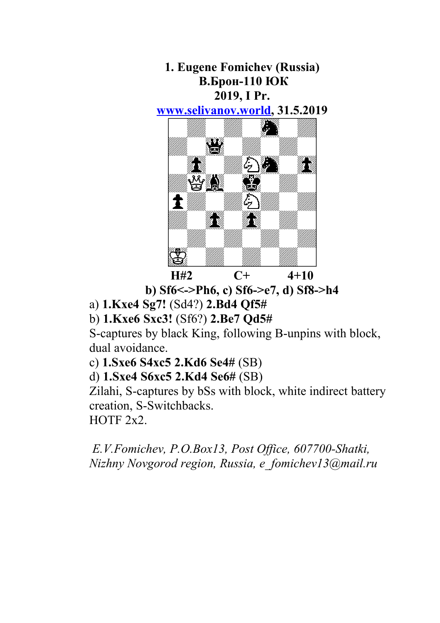## **1. Eugene Fomichev (Russia) В.Брон-110 ЮК 2019, I Pr.**

**[www.selivanov.world,](http://www.selivanov.world/) 31.5.2019**



**b) Sf6<->Ph6, c) Sf6->e7, d) Sf8->h4**

a) **1.Kxe4 Sg7!** (Sd4?) **2.Bd4 Qf5#**

b) **1.Kxe6 Sxc3!** (Sf6?) **2.Be7 Qd5#**

S-captures by black King, following B-unpins with block, dual avoidance.

c) **1.Sxe6 S4xc5 2.Kd6 Se4#** (SB)

d) **1.Sxe4 S6xc5 2.Kd4 Se6#** (SB)

Zilahi, S-captures by bSs with block, white indirect battery creation, S-Switchbacks.

HOTF 2x2.

 *E.V.Fomichev, P.O.Box13, Post Office, 607700-Shatki, Nizhny Novgorod region, Russia, e\_fomichev13@mail.ru*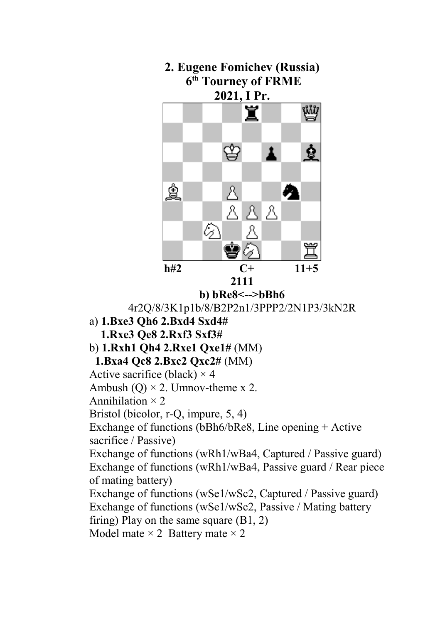

**2. Eugene Fomichev (Russia)**

**b) bRe8<-->bBh6** 4r2Q/8/3K1p1b/8/B2P2n1/3PPP2/2N1P3/3kN2R

a) **1.Bxe3 Qh6 2.Bxd4 Sxd4#**

 **1.Rxe3 Qe8 2.Rxf3 Sxf3#**

b) **1.Rxh1 Qh4 2.Rxe1 Qxe1#** (MM)

**1.Bxa4 Qc8 2.Bxc2 Qxc2#** (MM)

Active sacrifice (black)  $\times$  4

Ambush (Q)  $\times$  2. Umnov-theme x 2.

Annihilation  $\times$  2

Bristol (bicolor, r-Q, impure, 5, 4)

Exchange of functions (bBh6/bRe8, Line opening + Active sacrifice / Passive)

Exchange of functions (wRh1/wBa4, Captured / Passive guard) Exchange of functions (wRh1/wBa4, Passive guard / Rear piece of mating battery)

Exchange of functions (wSe1/wSc2, Captured / Passive guard) Exchange of functions (wSe1/wSc2, Passive / Mating battery firing) Play on the same square (B1, 2) Model mate  $\times$  2 Battery mate  $\times$  2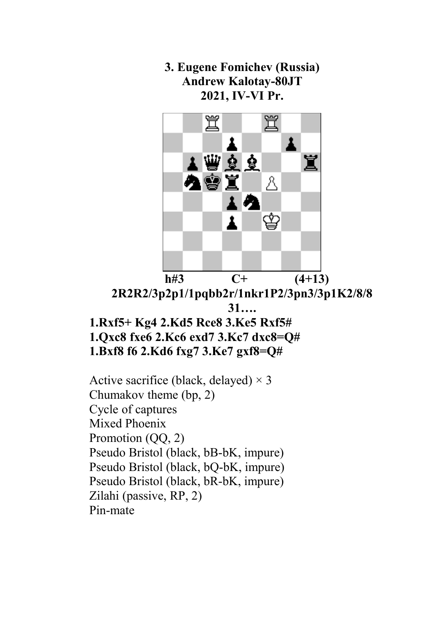**3. Eugene Fomichev (Russia) Andrew Kalotay-80JT 2021, IV-VI Pr.**



**2R2R2/3p2p1/1pqbb2r/1nkr1P2/3pn3/3p1K2/8/8 31…. 1.Rxf5+ Kg4 2.Kd5 Rce8 3.Ke5 Rxf5#** 

**1.Qxc8 fxe6 2.Kc6 exd7 3.Kc7 dxc8=Q# 1.Bxf8 f6 2.Kd6 fxg7 3.Ke7 gxf8=Q#** 

Active sacrifice (black, delayed)  $\times$  3 Chumakov theme (bp, 2) Cycle of captures Mixed Phoenix Promotion (QQ, 2) Pseudo Bristol (black, bB-bK, impure) Pseudo Bristol (black, bQ-bK, impure) Pseudo Bristol (black, bR-bK, impure) Zilahi (passive, RP, 2) Pin-mate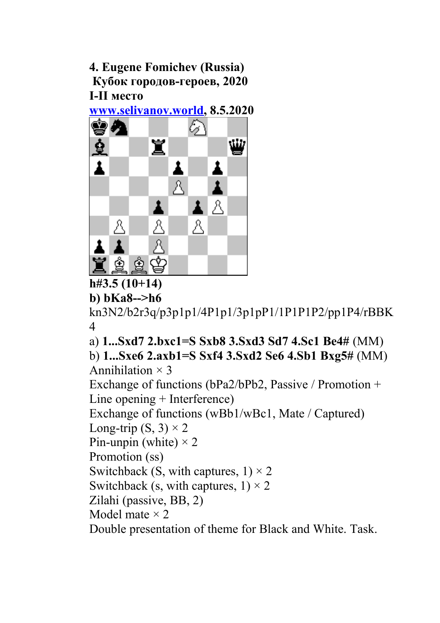**4. Eugene Fomichev (Russia) Кубок городов-героев, 2020 I-II место**

**[www.selivanov.world,](http://www.selivanov.world/) 8.5.2020**



**h#3.5 (10+14)**

**b) bKa8-->h6**

kn3N2/b2r3q/p3p1p1/4P1p1/3p1pP1/1P1P1P2/pp1P4/rBBK 4

a) **1...Sxd7 2.bxc1=S Sxb8 3.Sxd3 Sd7 4.Sc1 Be4#** (MM)

b) **1...Sxe6 2.axb1=S Sxf4 3.Sxd2 Se6 4.Sb1 Bxg5#** (MM) Annihilation  $\times$  3

Exchange of functions (bPa2/bPb2, Passive / Promotion + Line opening + Interference)

Exchange of functions (wBb1/wBc1, Mate / Captured)

Long-trip  $(S, 3) \times 2$ 

Pin-unpin (white)  $\times$  2

Promotion (ss)

Switchback (S, with captures,  $1 \times 2$ 

Switchback (s, with captures,  $1 \times 2$ 

Zilahi (passive, BB, 2)

Model mate  $\times$  2

Double presentation of theme for Black and White. Task.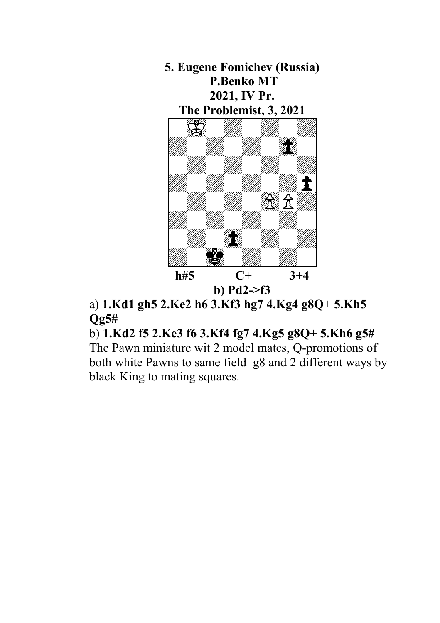

**b) Pd2->f3**

a) **1.Kd1 gh5 2.Ke2 h6 3.Kf3 hg7 4.Kg4 g8Q+ 5.Kh5 Qg5#**

b) **1.Kd2 f5 2.Ke3 f6 3.Kf4 fg7 4.Kg5 g8Q+ 5.Kh6 g5#** The Pawn miniature wit 2 model mates, Q-promotions of

both white Pawns to same field g8 and 2 different ways by black King to mating squares.